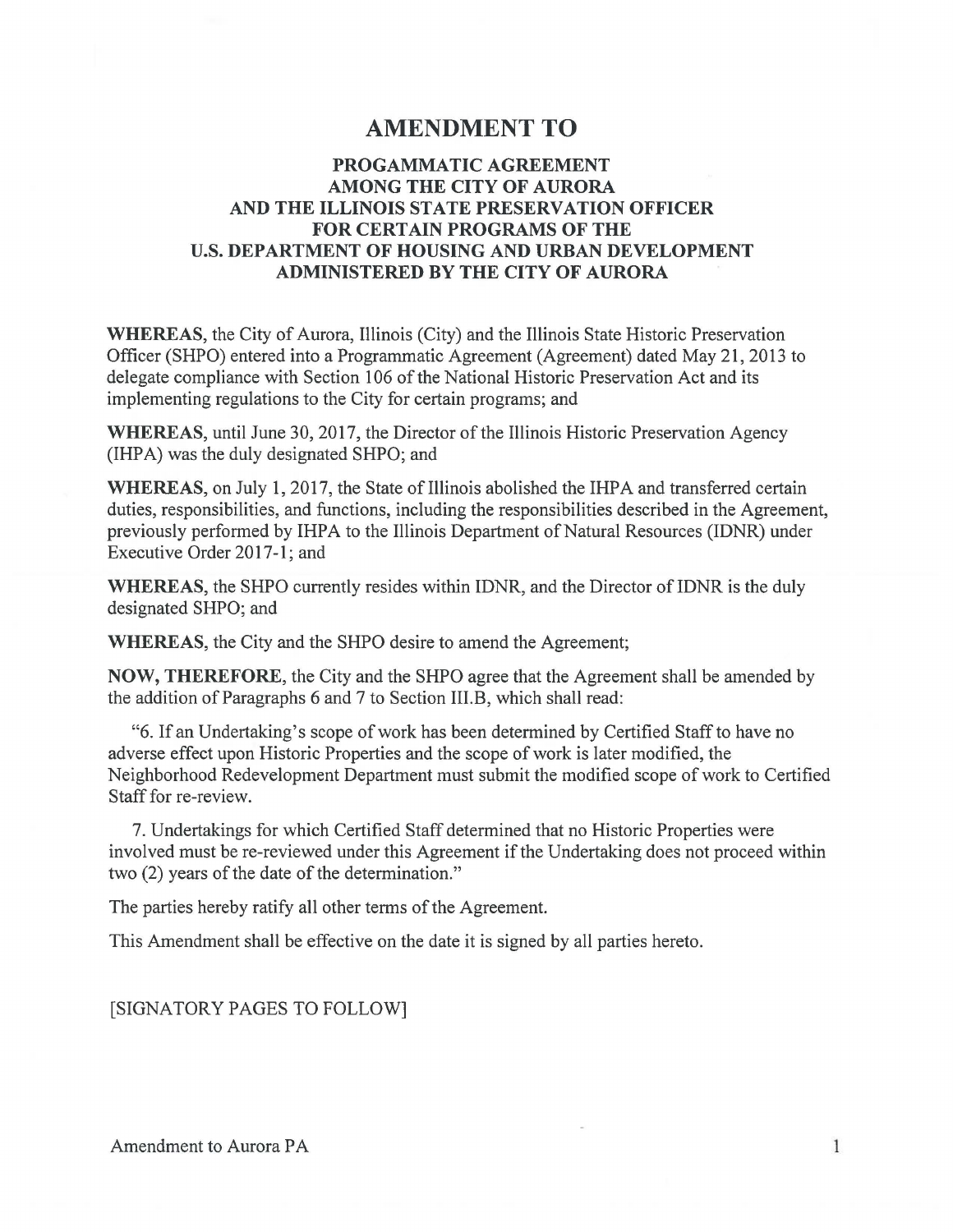## **AMENDMENT TO**

## **PROGAMMATIC AGREEMENT AMONG THE CITY OF AURORA AND THE ILLINOIS STATE PRESERVATION OFFICER FOR CERTAIN PROGRAMS OF THE U.S. DEPARTMENT OF HOUSING AND URBAN DEVELOPMENT ADMINISTERED BY THE CITY OF AURORA**

**WHEREAS,** the City of Aurora, Illinois (City) and the Illinois State Historic Preservation Officer (SHPO) entered into a Programmatic Agreement (Agreement) dated May 21, 2013 to delegate compliance with Section 106 of the National Historic Preservation Act and its implementing regulations to the City for certain programs; and

**WHEREAS,** until June 30, 2017, the Director of the Illinois Historic Preservation Agency (IHPA) was the duly designated SHPO; and

**WHEREAS,** on July **1,** 2017, the State of Illinois abolished the IHPA and transferred certain duties, responsibilities, and functions, including the responsibilities described in the Agreement, previously performed by IHPA to the Illinois Department of Natural Resources (IDNR) under Executive Order 2017-1; and

**WHEREAS,** the SHPO currently resides within IDNR, and the Director of IDNR is the duly designated SHPO; and

**WHEREAS,** the City and the SHPO desire to amend the Agreement;

**NOW, THEREFORE,** the City and the SHPO agree that the Agreement shall be amended by the addition of Paragraphs 6 and 7 to Section **111.B,** which shall read:

"6. If an Undertaking's scope of work has been determined by Certified Staff to have no adverse effect upon Historic Properties and the scope of work is later modified, the Neighborhood Redevelopment Department must submit the modified scope of work to Certified Staff for re-review.

7. Undertakings for which Certified Staff determined that no Historic Properties were involved must be re-reviewed under this Agreement if the Undertaking does not proceed within two (2) years of the date of the determination."

The parties hereby ratify all other terms of the Agreement.

This Amendment shall be effective on the date it is signed by all parties hereto.

[SIGNATORY PAGES TO FOLLOW]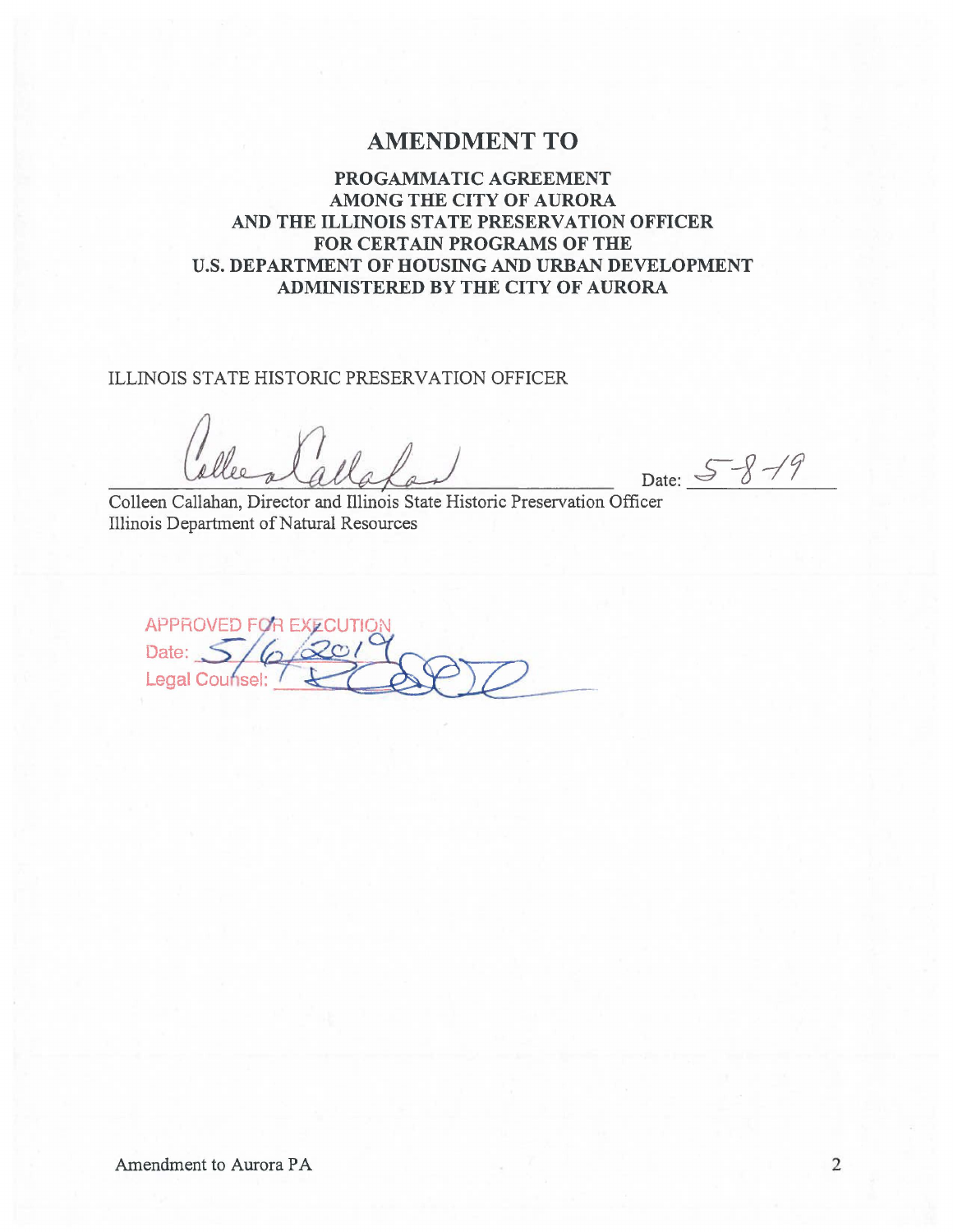## **AMENDMENT TO**

**PROGAMMATIC AGREEMENT AMONG THE CITY OF AURORA AND THE ILLINOIS STATE PRESERVATION OFFICER FOR CERTAIN PROGRAMS OF THE U.S. DEPARTMENT OF HOUSING AND URBAN DEVELOPMENT ADMINISTERED BY THE CITY OF AURORA** 

ILLINOIS STATE HISTORIC PRESERVATION OFFICER

Date:  $5 - 8 - 19$ 

Colleen Callahan, Director and Illinois State Historic Preservation Officer Illinois Department of Natural Resources

APPROVED FOR EXECUTION Date:  $5/6$   $\infty$